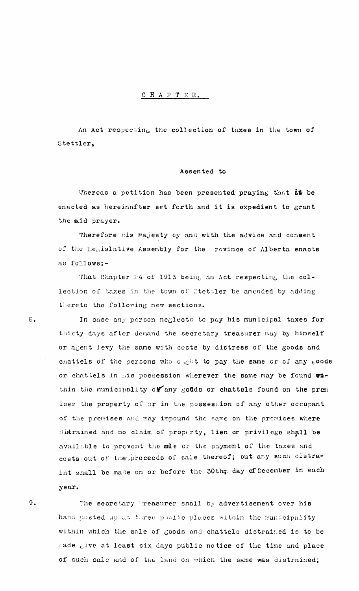## CHAPTER.

An Act respecting the collection of taxes in the town of Stettler,

## Assented to

Whereas a petition has been presented praying that it be enacted as hereinafter set forth and it is expedient to grant the aid prayer.

Therefore mis Majesty by and with the advice and consent of the Legislative Assembly for the rovince of Alberta enacts as follows:-

That Chapter : 4 of 1913 being an Act respecting the collection of taxes in the town of Stettler be amended by adding thereto the following new sections.

In case any person neglects to pay his municipal taxes for thirty days after demand the secretary treasurer may by himself or agent levy the same with costs by distress of the goods and chattels of the persons who ought to pay the same or of any goods or chattels in his possession wherever the same may be found within the municipality of any goods or chattels found on the prem ises the property of or in the possession of any other occupant of the premises and may impound the same on the premises where distrained and no claim of property, lien or privilege shall be available to prevent the sale or the payment of the taxes and costs out of the proceeds of sale thereof; but any such distraint shall be made on or before the 30thm day of December in each year.

9.

The secretary "reasurer shall by advertisement over his hand posted up at three public places within the municipality within which the sale of goods and chattels distrained is to be made give at least six days public notice of the time and place of such sale and of the land on which the same was distrained;

 $\varepsilon_{\bullet}$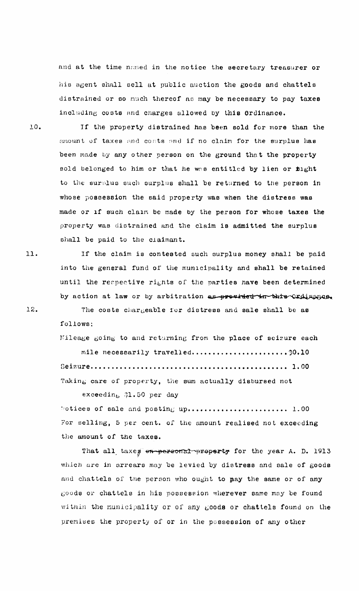and at the time named in the notice the secretary treasurer or his agent shall sell at public auction the goods and chattels distrained or so much thereof as may be necessary to pay taxes including costs and charges allowed by this Ordinance.

10. If the property distrained has been sold for more than the amount of taxes and costs and if no claim for the surplus has been made by any other person on the ground that the property sold belonged to him or that he was entitled by lien or fight to the surplus such surplus shall be returned to the person in whose possession the said property was when the distress was made or if such claim be made by the person for whose taxes the property was distrained and the claim is admitted the surplus shall be paid to the claimant.

If the claim is contested such surplus money shall be paid into the general fund of the municipality and shall be retained until the respective rights of the parties have been determined by action at law or by arbitration as provided in this Ordinance.

The costs chargeable for distress and sale shall be as follows:

Mileage going to and returning from the place of seizure each mile necessarily travelled.......................\$0.10 Taking care of property, the sum actually disbursed not

exceeding  $31.50$  per day

Notices of sale and posting up......................... 1.00 For selling, 5 per cent. of the amount realised not exceeding the amount of the taxes.

That all taxes en-personal property for the year A. D. 1913 which are in arrears may be levied by distress and sale of goods and chattels of the person who ought to pay the same or of any goods or chattels in his possession wherever same may be found within the municipality or of any goods or chattels found on the premises the property of or in the possession of any other

11.

12.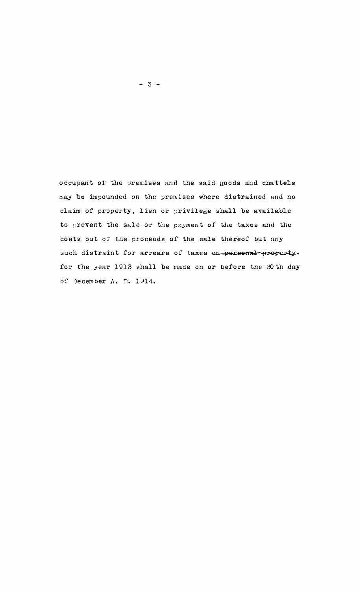occupant of the premises and the said goods and chattels may be impounded on the premises where distrained and no claim of property, lien or privilege shall be available to prevent the sale or the payment of the taxes and the costs out of the proceeds of the sale thereof but any such distraint for arrears of taxes on personal property. for the year 1913 shall be made on or before the 30th day of December A. D. 1914.